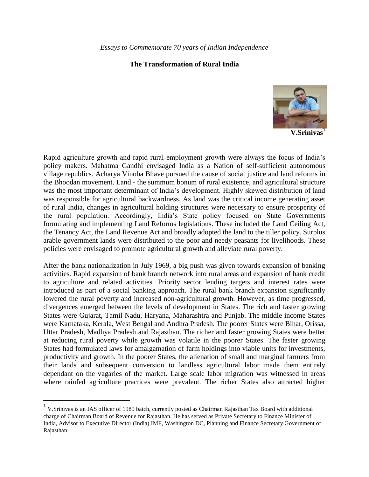## **The Transformation of Rural India**



**V.Srinivas<sup>1</sup>**

Rapid agriculture growth and rapid rural employment growth were always the focus of India's policy makers. Mahatma Gandhi envisaged India as a Nation of self-sufficient autonomous village republics. Acharya Vinoba Bhave pursued the cause of social justice and land reforms in the Bhoodan movement. Land - the summum bonum of rural existence, and agricultural structure was the most important determinant of India's development. Highly skewed distribution of land was responsible for agricultural backwardness. As land was the critical income generating asset of rural India, changes in agricultural holding structures were necessary to ensure prosperity of the rural population. Accordingly, India's State policy focused on State Governments formulating and implementing Land Reforms legislations. These included the Land Ceiling Act, the Tenancy Act, the Land Revenue Act and broadly adopted the land to the tiller policy. Surplus arable government lands were distributed to the poor and needy peasants for livelihoods. These policies were envisaged to promote agricultural growth and alleviate rural poverty.

After the bank nationalization in July 1969, a big push was given towards expansion of banking activities. Rapid expansion of bank branch network into rural areas and expansion of bank credit to agriculture and related activities. Priority sector lending targets and interest rates were introduced as part of a social banking approach. The rural bank branch expansion significantly lowered the rural poverty and increased non-agricultural growth. However, as time progressed, divergences emerged between the levels of development in States. The rich and faster growing States were Gujarat, Tamil Nadu, Haryana, Maharashtra and Punjab. The middle income States were Karnataka, Kerala, West Bengal and Andhra Pradesh. The poorer States were Bihar, Orissa, Uttar Pradesh, Madhya Pradesh and Rajasthan. The richer and faster growing States were better at reducing rural poverty while growth was volatile in the poorer States. The faster growing States had formulated laws for amalgamation of farm holdings into viable units for investments, productivity and growth. In the poorer States, the alienation of small and marginal farmers from their lands and subsequent conversion to landless agricultural labor made them entirely dependant on the vagaries of the market. Large scale labor migration was witnessed in areas where rainfed agriculture practices were prevalent. The richer States also attracted higher

 $\overline{a}$ 

<sup>&</sup>lt;sup>1</sup> V.Srinivas is an IAS officer of 1989 batch, currently posted as Chairman Rajasthan Tax Board with additional charge of Chairman Board of Revenue for Rajasthan. He has served as Private Secretary to Finance Minister of India, Advisor to Executive Director (India) IMF, Washington DC, Planning and Finance Secretary Government of Rajasthan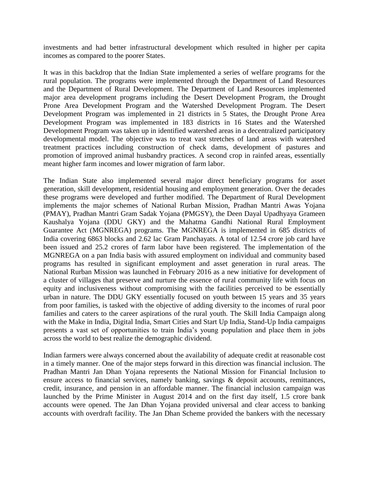investments and had better infrastructural development which resulted in higher per capita incomes as compared to the poorer States.

It was in this backdrop that the Indian State implemented a series of welfare programs for the rural population. The programs were implemented through the Department of Land Resources and the Department of Rural Development. The Department of Land Resources implemented major area development programs including the Desert Development Program, the Drought Prone Area Development Program and the Watershed Development Program. The Desert Development Program was implemented in 21 districts in 5 States, the Drought Prone Area Development Program was implemented in 183 districts in 16 States and the Watershed Development Program was taken up in identified watershed areas in a decentralized participatory developmental model. The objective was to treat vast stretches of land areas with watershed treatment practices including construction of check dams, development of pastures and promotion of improved animal husbandry practices. A second crop in rainfed areas, essentially meant higher farm incomes and lower migration of farm labor.

The Indian State also implemented several major direct beneficiary programs for asset generation, skill development, residential housing and employment generation. Over the decades these programs were developed and further modified. The Department of Rural Development implements the major schemes of National Rurban Mission, Pradhan Mantri Awas Yojana (PMAY), Pradhan Mantri Gram Sadak Yojana (PMGSY), the Deen Dayal Upadhyaya Grameen Kaushalya Yojana (DDU GKY) and the Mahatma Gandhi National Rural Employment Guarantee Act (MGNREGA) programs. The MGNREGA is implemented in 685 districts of India covering 6863 blocks and 2.62 lac Gram Panchayats. A total of 12.54 crore job card have been issued and 25.2 crores of farm labor have been registered. The implementation of the MGNREGA on a pan India basis with assured employment on individual and community based programs has resulted in significant employment and asset generation in rural areas. The National Rurban Mission was launched in February 2016 as a new initiative for development of a cluster of villages that preserve and nurture the essence of rural community life with focus on equity and inclusiveness without compromising with the facilities perceived to be essentially urban in nature. The DDU GKY essentially focused on youth between 15 years and 35 years from poor families, is tasked with the objective of adding diversity to the incomes of rural poor families and caters to the career aspirations of the rural youth. The Skill India Campaign along with the Make in India, Digital India, Smart Cities and Start Up India, Stand-Up India campaigns presents a vast set of opportunities to train India's young population and place them in jobs across the world to best realize the demographic dividend.

Indian farmers were always concerned about the availability of adequate credit at reasonable cost in a timely manner. One of the major steps forward in this direction was financial inclusion. The Pradhan Mantri Jan Dhan Yojana represents the National Mission for Financial Inclusion to ensure access to financial services, namely banking, savings & deposit accounts, remittances, credit, insurance, and pension in an affordable manner. The financial inclusion campaign was launched by the Prime Minister in August 2014 and on the first day itself, 1.5 crore bank accounts were opened. The Jan Dhan Yojana provided universal and clear access to banking accounts with overdraft facility. The Jan Dhan Scheme provided the bankers with the necessary